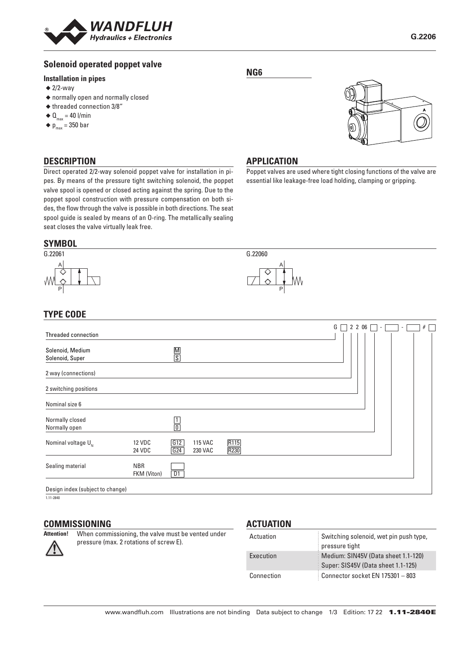

## **Solenoid operated poppet valve**

### **Installation in pipes**

- $\triangleq$  2/2-way
- ◆ normally open and normally closed
- ◆ threaded connection 3/8"
- $\triangleleft$  Q<sub>max</sub> = 40 l/min
- $\blacklozenge$  p<sub>max</sub> = 350 bar

### **DESCRIPTION**

Direct operated 2/2-way solenoid poppet valve for installation in pipes. By means of the pressure tight switching solenoid, the poppet valve spool is opened or closed acting against the spring. Due to the poppet spool construction with pressure compensation on both sides, the flow through the valve is possible in both directions. The seat spool guide is sealed by means of an O-ring. The metallically sealing seat closes the valve virtually leak free.

#### **SYMBOL**



## **TYPE CODE**

|                                     |                           |               |                           |              |  | G | 2 2 0 6 | ۰ | ٠ | # |  |
|-------------------------------------|---------------------------|---------------|---------------------------|--------------|--|---|---------|---|---|---|--|
| Threaded connection                 |                           |               |                           |              |  |   |         |   |   |   |  |
| Solenoid, Medium<br>Solenoid, Super |                           | $\frac{M}{S}$ |                           |              |  |   |         |   |   |   |  |
| 2 way (connections)                 |                           |               |                           |              |  |   |         |   |   |   |  |
| 2 switching positions               |                           |               |                           |              |  |   |         |   |   |   |  |
| Nominal size 6                      |                           |               |                           |              |  |   |         |   |   |   |  |
| Normally closed<br>Normally open    |                           | $\frac{1}{0}$ |                           |              |  |   |         |   |   |   |  |
| Nominal voltage $U_{N}$             | <b>12 VDC</b><br>24 VDC   | G12<br>G24    | <b>115 VAC</b><br>230 VAC | R115<br>R230 |  |   |         |   |   |   |  |
| Sealing material                    | <b>NBR</b><br>FKM (Viton) | D1            |                           |              |  |   |         |   |   |   |  |
| Design index (subject to change)    |                           |               |                           |              |  |   |         |   |   |   |  |

1.11-2840

# **COMMISSIONING**<br>Attention! When comm

**When commissioning, the valve must be vented under** 

### pressure (max. 2 rotations of screw E).

### **ACTUATION**

| Actuation  | Switching solenoid, wet pin push type,<br>pressure tight                  |
|------------|---------------------------------------------------------------------------|
| Execution  | Medium: SIN45V (Data sheet 1.1-120)<br>Super: SIS45V (Data sheet 1.1-125) |
| Connection | Connector socket EN 175301 - 803                                          |

## **NG6**



### **APPLICATION**

G.22060

A

P

Poppet valves are used where tight closing functions of the valve are essential like leakage-free load holding, clamping or gripping.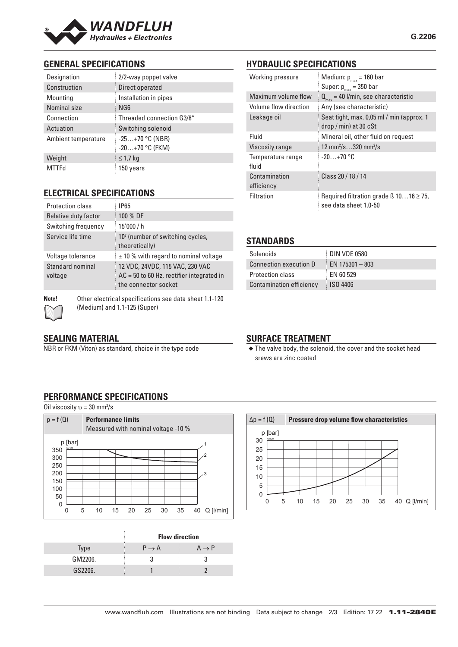

## **GENERAL SPECIFICATIONS**

| Designation         | 2/2-way poppet valve                   |  |  |  |  |
|---------------------|----------------------------------------|--|--|--|--|
| Construction        | Direct operated                        |  |  |  |  |
| Mounting            | Installation in pipes                  |  |  |  |  |
| Nominal size        | NG6                                    |  |  |  |  |
| Connection          | Threaded connection G3/8"              |  |  |  |  |
| Actuation           | Switching solenoid                     |  |  |  |  |
| Ambient temperature | $-25+70$ °C (NBR)<br>$-20+70$ °C (FKM) |  |  |  |  |
| Weight              | $\leq$ 1,7 kg                          |  |  |  |  |
| MTTFd               | 150 years                              |  |  |  |  |

## **ELECTRICAL SPECIFICATIONS**

| <b>IP65</b>                                                                                            |
|--------------------------------------------------------------------------------------------------------|
| 100 % DF                                                                                               |
| 15'000 / h                                                                                             |
| 10 <sup>7</sup> (number of switching cycles,<br>theoretically)                                         |
| $\pm$ 10 % with regard to nominal voltage                                                              |
| 12 VDC, 24VDC, 115 VAC, 230 VAC<br>$AC = 50$ to 60 Hz, rectifier integrated in<br>the connector socket |
|                                                                                                        |

**Note!** Other electrical specifications see data sheet 1.1-120 (Medium) and 1.1-125 (Super)

## **SEALING MATERIAL**

NBR or FKM (Viton) as standard, choice in the type code

## **HYDRAULIC SPECIFICATIONS**

| Working pressure            | Medium: $p_{max}$ = 160 bar<br>Super: $p_{max}$ = 350 bar                  |  |  |  |
|-----------------------------|----------------------------------------------------------------------------|--|--|--|
| Maximum volume flow         | $Q_{\text{max}}$ = 40 l/min, see characteristic                            |  |  |  |
| Volume flow direction       | Any (see characteristic)                                                   |  |  |  |
| Leakage oil                 | Seat tight, max. 0,05 ml / min (approx. 1<br>$drop / min)$ at 30 $cSt$     |  |  |  |
| Fluid                       | Mineral oil, other fluid on request                                        |  |  |  |
| Viscosity range             | 12 mm <sup>2</sup> /s320 mm <sup>2</sup> /s                                |  |  |  |
| Temperature range<br>fluid  | $-20+70$ °C                                                                |  |  |  |
| Contamination<br>efficiency | Class 20 / 18 / 14                                                         |  |  |  |
| Filtration                  | Required filtration grade $\beta$ 1016 $\geq$ 75,<br>see data sheet 1.0-50 |  |  |  |

## **STANDARDS**

| Solenoids                | <b>DIN VDE 0580</b> |
|--------------------------|---------------------|
| Connection execution D   | $E$ EN 175301 - 803 |
| <b>Protection class</b>  | EN 60 529           |
| Contamination efficiency | <b>ISO 4406</b>     |

### **SURFACE TREATMENT**

◆ The valve body, the solenoid, the cover and the socket head srews are zinc coated

## **PERFORMANCE SPECIFICATIONS**

Oil viscosity  $v = 30$  mm<sup>2</sup>/s



|         | <b>Flow direction</b> |                   |  |
|---------|-----------------------|-------------------|--|
| Type    | $P \rightarrow A$     | $A \rightarrow P$ |  |
| GM2206. |                       |                   |  |
| GS2206. |                       |                   |  |